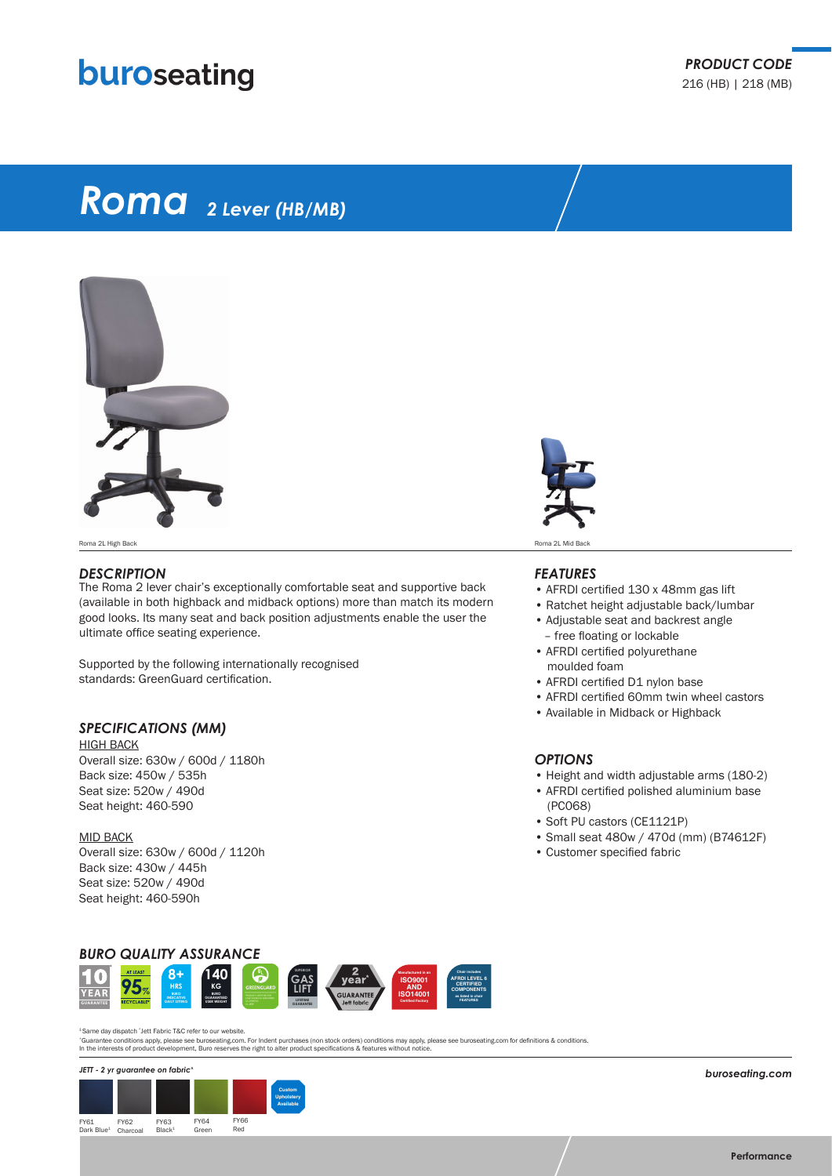## buroseating

# *Roma 2 Lever (HB/MB)*



Roma 2L High Back **Roma 2L Mid Back Roma 2L Mid Back** Roma 2L Mid Back Roma 2L Mid Back Roma 2L Mid Back Roma 2L Mid Back

#### *DESCRIPTION*

The Roma 2 lever chair's exceptionally comfortable seat and supportive back (available in both highback and midback options) more than match its modern good looks. Its many seat and back position adjustments enable the user the ultimate office seating experience.

Supported by the following internationally recognised standards: GreenGuard certification.

### *SPECIFICATIONS (MM)*

HIGH BACK Overall size: 630w / 600d / 1180h Back size: 450w / 535h Seat size: 520w / 490d Seat height: 460-590

MID BACK Overall size: 630w / 600d / 1120h Back size: 430w / 445h Seat size: 520w / 490d Seat height: 460-590h



### *FEATURES*

- AFRDI certified 130 x 48mm gas lift
- Ratchet height adjustable back/lumbar
- Adjustable seat and backrest angle – free floating or lockable
- AFRDI certified polyurethane moulded foam
- AFRDI certified D1 nylon base
- AFRDI certified 60mm twin wheel castors
- Available in Midback or Highback

### *OPTIONS*

- Height and width adjustable arms (180-2)
- AFRDI certified polished aluminium base (PC068)
- Soft PU castors (CE1121P)
- Small seat 480w / 470d (mm) (B74612F)
- Customer specified fabric



<sup>1</sup> Same day dispatch ^Jett Fabric T&C refer to our website.

"Guarantee conditions apply, please see buroseating.com. For Indent purchases (non stock orders) conditions may apply, please see buroseating.com for definitions & conditions.<br>In the interests of product development, Buro



*buroseating.com*